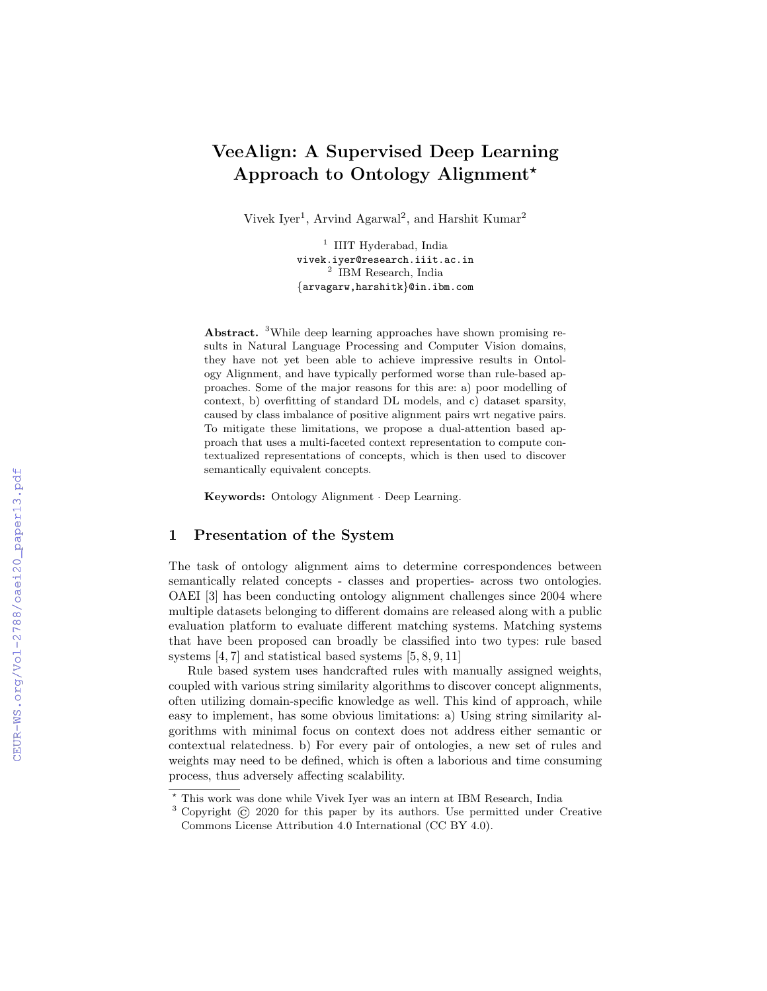# VeeAlign: A Supervised Deep Learning Approach to Ontology Alignment?

Vivek Iyer<sup>1</sup>, Arvind Agarwal<sup>2</sup>, and Harshit Kumar<sup>2</sup>

<sup>1</sup> IIIT Hyderabad, India vivek.iyer@research.iiit.ac.in 2 IBM Research, India {arvagarw,harshitk}@in.ibm.com

Abstract. <sup>3</sup>While deep learning approaches have shown promising results in Natural Language Processing and Computer Vision domains, they have not yet been able to achieve impressive results in Ontology Alignment, and have typically performed worse than rule-based approaches. Some of the major reasons for this are: a) poor modelling of context, b) overfitting of standard DL models, and c) dataset sparsity, caused by class imbalance of positive alignment pairs wrt negative pairs. To mitigate these limitations, we propose a dual-attention based approach that uses a multi-faceted context representation to compute contextualized representations of concepts, which is then used to discover semantically equivalent concepts.

Keywords: Ontology Alignment · Deep Learning.

# 1 Presentation of the System

The task of ontology alignment aims to determine correspondences between semantically related concepts - classes and properties- across two ontologies. OAEI [3] has been conducting ontology alignment challenges since 2004 where multiple datasets belonging to different domains are released along with a public evaluation platform to evaluate different matching systems. Matching systems that have been proposed can broadly be classified into two types: rule based systems [4, 7] and statistical based systems [5, 8, 9, 11]

Rule based system uses handcrafted rules with manually assigned weights, coupled with various string similarity algorithms to discover concept alignments, often utilizing domain-specific knowledge as well. This kind of approach, while easy to implement, has some obvious limitations: a) Using string similarity algorithms with minimal focus on context does not address either semantic or contextual relatedness. b) For every pair of ontologies, a new set of rules and weights may need to be defined, which is often a laborious and time consuming process, thus adversely affecting scalability.

<sup>?</sup> This work was done while Vivek Iyer was an intern at IBM Research, India

<sup>3</sup> Copyright © 2020 for this paper by its authors. Use permitted under Creative Commons License Attribution 4.0 International (CC BY 4.0).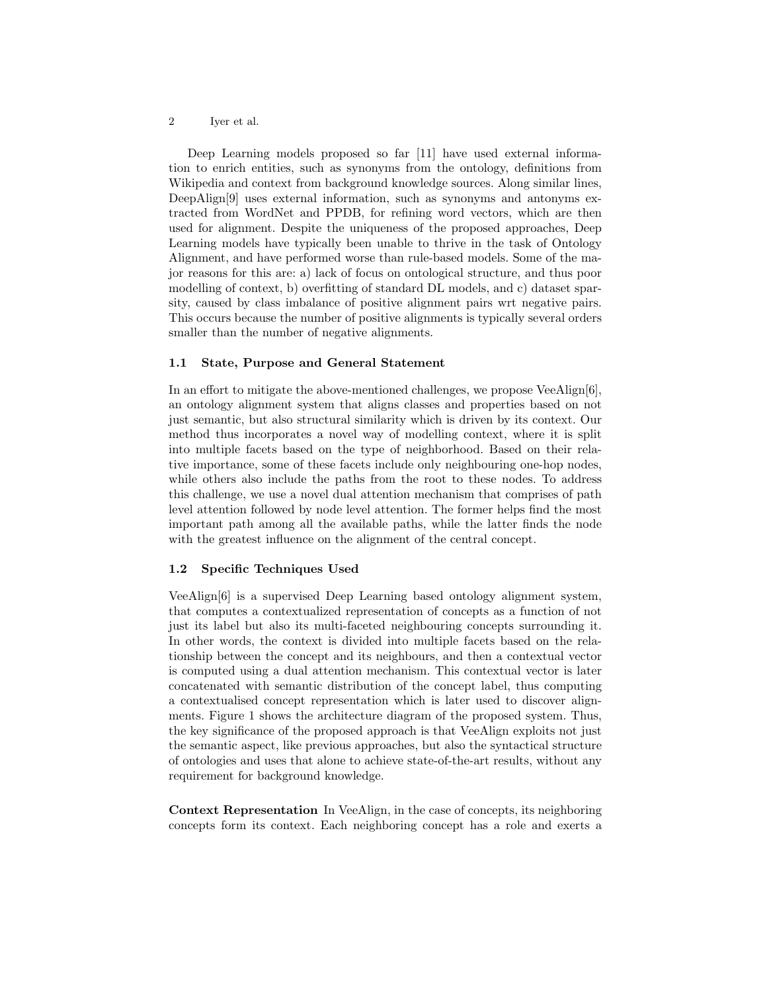#### 2 Iyer et al.

Deep Learning models proposed so far [11] have used external information to enrich entities, such as synonyms from the ontology, definitions from Wikipedia and context from background knowledge sources. Along similar lines, DeepAlign[9] uses external information, such as synonyms and antonyms extracted from WordNet and PPDB, for refining word vectors, which are then used for alignment. Despite the uniqueness of the proposed approaches, Deep Learning models have typically been unable to thrive in the task of Ontology Alignment, and have performed worse than rule-based models. Some of the major reasons for this are: a) lack of focus on ontological structure, and thus poor modelling of context, b) overfitting of standard DL models, and c) dataset sparsity, caused by class imbalance of positive alignment pairs wrt negative pairs. This occurs because the number of positive alignments is typically several orders smaller than the number of negative alignments.

### 1.1 State, Purpose and General Statement

In an effort to mitigate the above-mentioned challenges, we propose VeeAlign[6], an ontology alignment system that aligns classes and properties based on not just semantic, but also structural similarity which is driven by its context. Our method thus incorporates a novel way of modelling context, where it is split into multiple facets based on the type of neighborhood. Based on their relative importance, some of these facets include only neighbouring one-hop nodes, while others also include the paths from the root to these nodes. To address this challenge, we use a novel dual attention mechanism that comprises of path level attention followed by node level attention. The former helps find the most important path among all the available paths, while the latter finds the node with the greatest influence on the alignment of the central concept.

## 1.2 Specific Techniques Used

VeeAlign[6] is a supervised Deep Learning based ontology alignment system, that computes a contextualized representation of concepts as a function of not just its label but also its multi-faceted neighbouring concepts surrounding it. In other words, the context is divided into multiple facets based on the relationship between the concept and its neighbours, and then a contextual vector is computed using a dual attention mechanism. This contextual vector is later concatenated with semantic distribution of the concept label, thus computing a contextualised concept representation which is later used to discover alignments. Figure 1 shows the architecture diagram of the proposed system. Thus, the key significance of the proposed approach is that VeeAlign exploits not just the semantic aspect, like previous approaches, but also the syntactical structure of ontologies and uses that alone to achieve state-of-the-art results, without any requirement for background knowledge.

Context Representation In VeeAlign, in the case of concepts, its neighboring concepts form its context. Each neighboring concept has a role and exerts a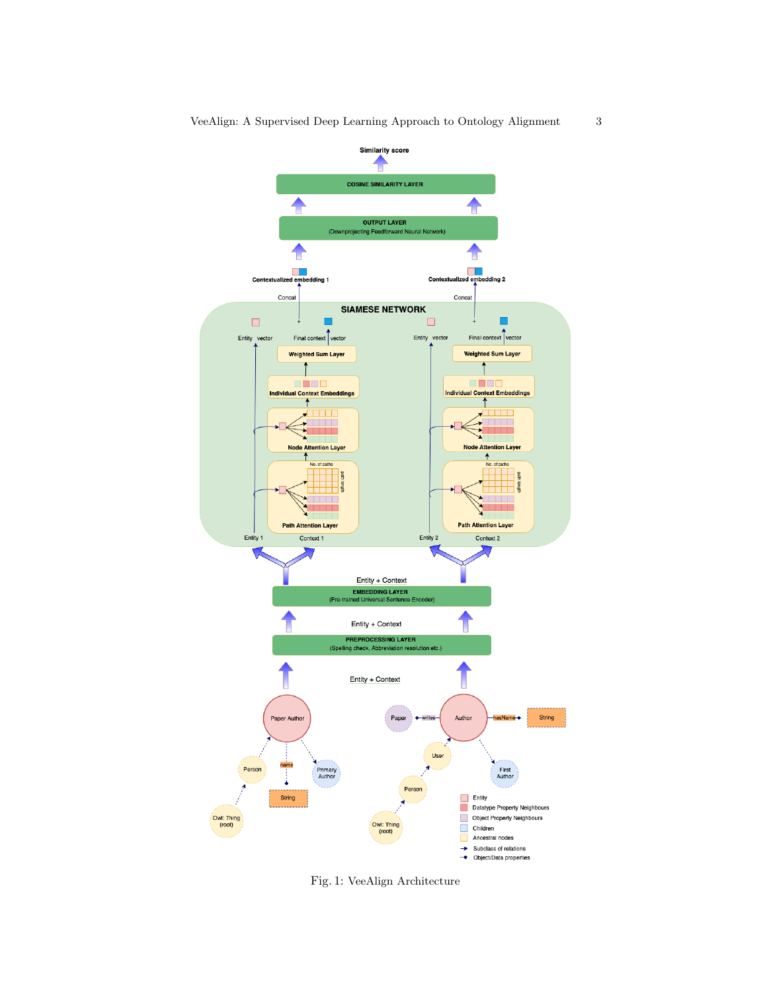

Fig. 1: VeeAlign Architecture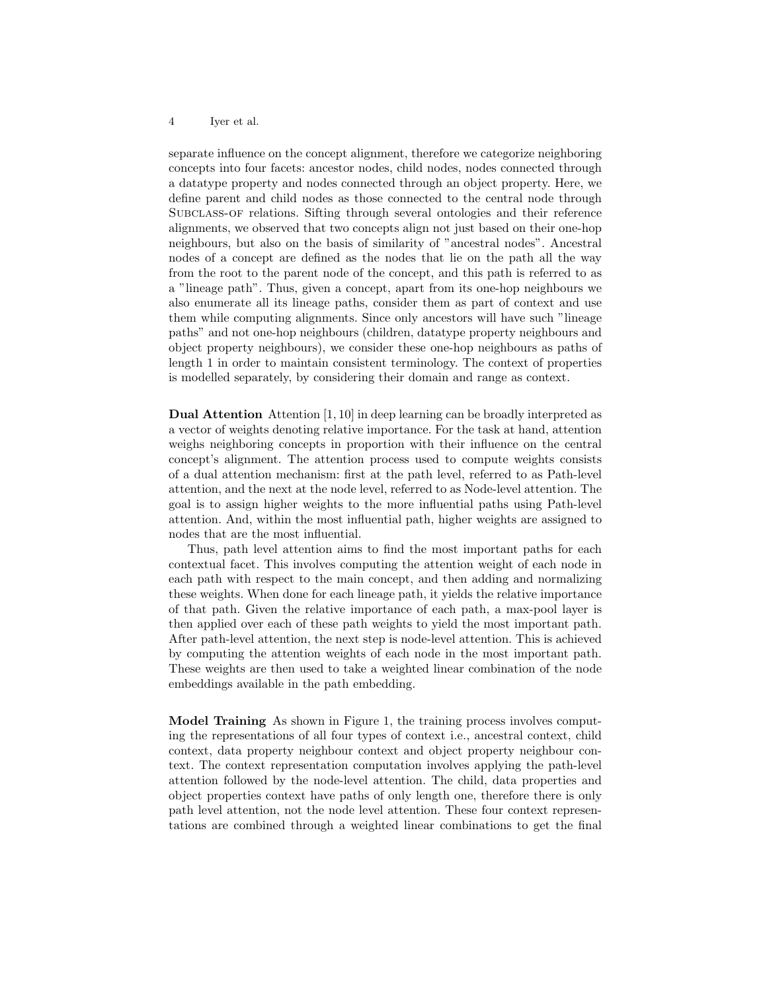#### 4 Iyer et al.

separate influence on the concept alignment, therefore we categorize neighboring concepts into four facets: ancestor nodes, child nodes, nodes connected through a datatype property and nodes connected through an object property. Here, we define parent and child nodes as those connected to the central node through Subclass-of relations. Sifting through several ontologies and their reference alignments, we observed that two concepts align not just based on their one-hop neighbours, but also on the basis of similarity of "ancestral nodes". Ancestral nodes of a concept are defined as the nodes that lie on the path all the way from the root to the parent node of the concept, and this path is referred to as a "lineage path". Thus, given a concept, apart from its one-hop neighbours we also enumerate all its lineage paths, consider them as part of context and use them while computing alignments. Since only ancestors will have such "lineage paths" and not one-hop neighbours (children, datatype property neighbours and object property neighbours), we consider these one-hop neighbours as paths of length 1 in order to maintain consistent terminology. The context of properties is modelled separately, by considering their domain and range as context.

Dual Attention Attention [1, 10] in deep learning can be broadly interpreted as a vector of weights denoting relative importance. For the task at hand, attention weighs neighboring concepts in proportion with their influence on the central concept's alignment. The attention process used to compute weights consists of a dual attention mechanism: first at the path level, referred to as Path-level attention, and the next at the node level, referred to as Node-level attention. The goal is to assign higher weights to the more influential paths using Path-level attention. And, within the most influential path, higher weights are assigned to nodes that are the most influential.

Thus, path level attention aims to find the most important paths for each contextual facet. This involves computing the attention weight of each node in each path with respect to the main concept, and then adding and normalizing these weights. When done for each lineage path, it yields the relative importance of that path. Given the relative importance of each path, a max-pool layer is then applied over each of these path weights to yield the most important path. After path-level attention, the next step is node-level attention. This is achieved by computing the attention weights of each node in the most important path. These weights are then used to take a weighted linear combination of the node embeddings available in the path embedding.

Model Training As shown in Figure 1, the training process involves computing the representations of all four types of context i.e., ancestral context, child context, data property neighbour context and object property neighbour context. The context representation computation involves applying the path-level attention followed by the node-level attention. The child, data properties and object properties context have paths of only length one, therefore there is only path level attention, not the node level attention. These four context representations are combined through a weighted linear combinations to get the final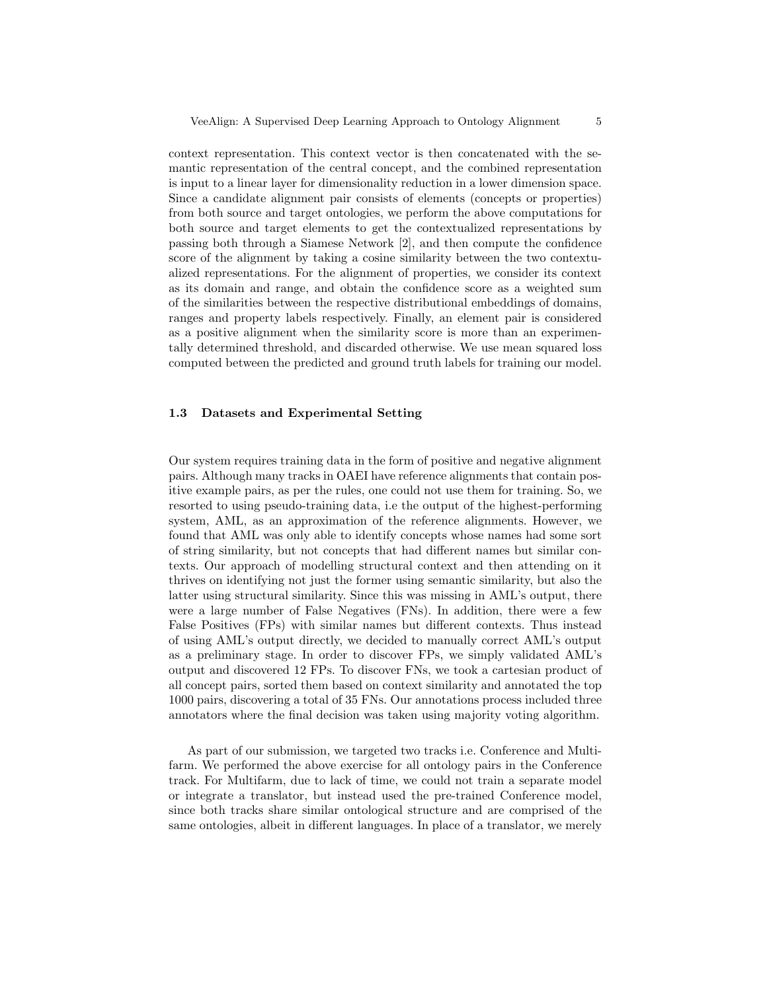context representation. This context vector is then concatenated with the semantic representation of the central concept, and the combined representation is input to a linear layer for dimensionality reduction in a lower dimension space. Since a candidate alignment pair consists of elements (concepts or properties) from both source and target ontologies, we perform the above computations for both source and target elements to get the contextualized representations by passing both through a Siamese Network [2], and then compute the confidence score of the alignment by taking a cosine similarity between the two contextualized representations. For the alignment of properties, we consider its context as its domain and range, and obtain the confidence score as a weighted sum of the similarities between the respective distributional embeddings of domains, ranges and property labels respectively. Finally, an element pair is considered as a positive alignment when the similarity score is more than an experimentally determined threshold, and discarded otherwise. We use mean squared loss computed between the predicted and ground truth labels for training our model.

## 1.3 Datasets and Experimental Setting

Our system requires training data in the form of positive and negative alignment pairs. Although many tracks in OAEI have reference alignments that contain positive example pairs, as per the rules, one could not use them for training. So, we resorted to using pseudo-training data, i.e the output of the highest-performing system, AML, as an approximation of the reference alignments. However, we found that AML was only able to identify concepts whose names had some sort of string similarity, but not concepts that had different names but similar contexts. Our approach of modelling structural context and then attending on it thrives on identifying not just the former using semantic similarity, but also the latter using structural similarity. Since this was missing in AML's output, there were a large number of False Negatives (FNs). In addition, there were a few False Positives (FPs) with similar names but different contexts. Thus instead of using AML's output directly, we decided to manually correct AML's output as a preliminary stage. In order to discover FPs, we simply validated AML's output and discovered 12 FPs. To discover FNs, we took a cartesian product of all concept pairs, sorted them based on context similarity and annotated the top 1000 pairs, discovering a total of 35 FNs. Our annotations process included three annotators where the final decision was taken using majority voting algorithm.

As part of our submission, we targeted two tracks i.e. Conference and Multifarm. We performed the above exercise for all ontology pairs in the Conference track. For Multifarm, due to lack of time, we could not train a separate model or integrate a translator, but instead used the pre-trained Conference model, since both tracks share similar ontological structure and are comprised of the same ontologies, albeit in different languages. In place of a translator, we merely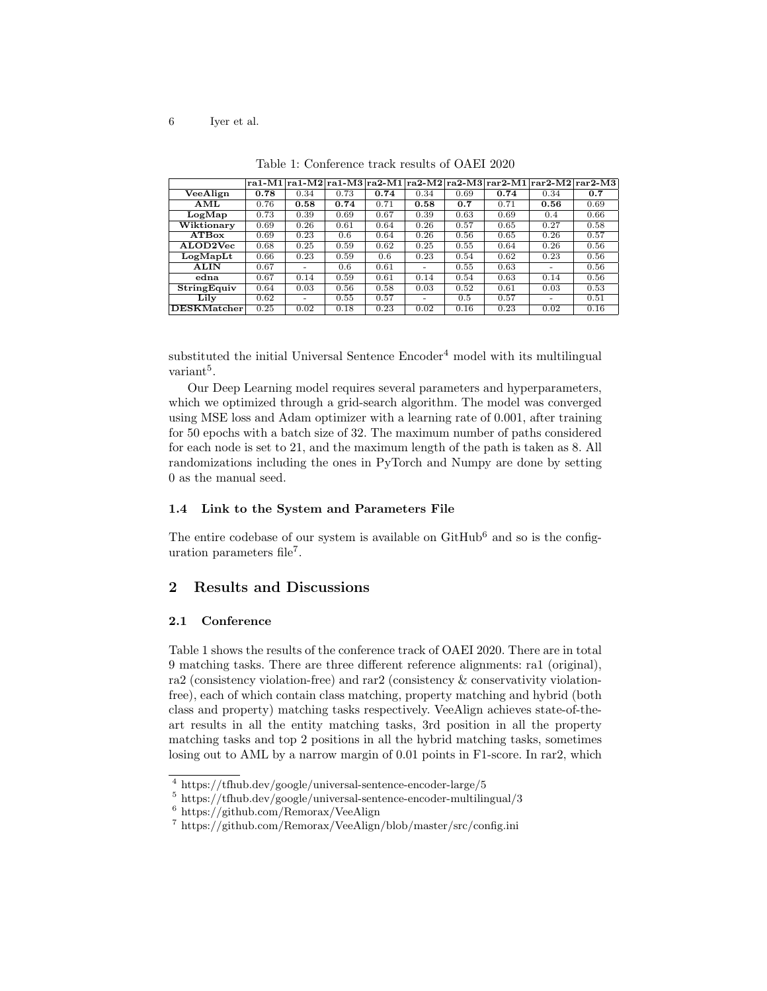|                       |      |      |      |      |      |      |      | $\lceil \frac{1}{1} \rceil$ ra1-M2 $\lceil \frac{1}{1} \rceil$ ra2-M1 $\lceil \frac{1}{1} \rceil$ ra2-M3 $\lceil \frac{1}{1} \rceil$ ran2-M1 $\lceil \frac{1}{1} \rceil$ ran2-M2 $\lceil \frac{1}{1} \rceil$ |      |
|-----------------------|------|------|------|------|------|------|------|--------------------------------------------------------------------------------------------------------------------------------------------------------------------------------------------------------------|------|
| VeeAlign              | 0.78 | 0.34 | 0.73 | 0.74 | 0.34 | 0.69 | 0.74 | 0.34                                                                                                                                                                                                         | 0.7  |
| AML                   | 0.76 | 0.58 | 0.74 | 0.71 | 0.58 | 0.7  | 0.71 | 0.56                                                                                                                                                                                                         | 0.69 |
| LogMap                | 0.73 | 0.39 | 0.69 | 0.67 | 0.39 | 0.63 | 0.69 | 0.4                                                                                                                                                                                                          | 0.66 |
| Wiktionary            | 0.69 | 0.26 | 0.61 | 0.64 | 0.26 | 0.57 | 0.65 | 0.27                                                                                                                                                                                                         | 0.58 |
| <b>ATBox</b>          | 0.69 | 0.23 | 0.6  | 0.64 | 0.26 | 0.56 | 0.65 | 0.26                                                                                                                                                                                                         | 0.57 |
| ALOD <sub>2</sub> Vec | 0.68 | 0.25 | 0.59 | 0.62 | 0.25 | 0.55 | 0.64 | 0.26                                                                                                                                                                                                         | 0.56 |
| LogMapLt              | 0.66 | 0.23 | 0.59 | 0.6  | 0.23 | 0.54 | 0.62 | 0.23                                                                                                                                                                                                         | 0.56 |
| <b>ALIN</b>           | 0.67 |      | 0.6  | 0.61 | -    | 0.55 | 0.63 | -                                                                                                                                                                                                            | 0.56 |
| edna                  | 0.67 | 0.14 | 0.59 | 0.61 | 0.14 | 0.54 | 0.63 | 0.14                                                                                                                                                                                                         | 0.56 |
| StringEquiv           | 0.64 | 0.03 | 0.56 | 0.58 | 0.03 | 0.52 | 0.61 | 0.03                                                                                                                                                                                                         | 0.53 |
| Lily                  | 0.62 |      | 0.55 | 0.57 | ۰    | 0.5  | 0.57 | -                                                                                                                                                                                                            | 0.51 |
| <b>DESKMatcher</b>    | 0.25 | 0.02 | 0.18 | 0.23 | 0.02 | 0.16 | 0.23 | 0.02                                                                                                                                                                                                         | 0.16 |

Table 1: Conference track results of OAEI 2020

substituted the initial Universal Sentence  $\text{Encoder}^4$  model with its multilingual  $variant<sup>5</sup>$ .

Our Deep Learning model requires several parameters and hyperparameters, which we optimized through a grid-search algorithm. The model was converged using MSE loss and Adam optimizer with a learning rate of 0.001, after training for 50 epochs with a batch size of 32. The maximum number of paths considered for each node is set to 21, and the maximum length of the path is taken as 8. All randomizations including the ones in PyTorch and Numpy are done by setting 0 as the manual seed.

## 1.4 Link to the System and Parameters File

The entire codebase of our system is available on  $\text{GitHub}^6$  and so is the configuration parameters file<sup>7</sup> .

# 2 Results and Discussions

### 2.1 Conference

Table 1 shows the results of the conference track of OAEI 2020. There are in total 9 matching tasks. There are three different reference alignments: ra1 (original), ra2 (consistency violation-free) and rar2 (consistency & conservativity violationfree), each of which contain class matching, property matching and hybrid (both class and property) matching tasks respectively. VeeAlign achieves state-of-theart results in all the entity matching tasks, 3rd position in all the property matching tasks and top 2 positions in all the hybrid matching tasks, sometimes losing out to AML by a narrow margin of 0.01 points in F1-score. In rar2, which

 $^4$ https://tfhub.dev/google/universal-sentence-encoder-large/5

 $5 \text{ https://tfhub.dev/google/universal-sentence-encoder-multipual}/3$ 

 $6$  https://github.com/Remorax/VeeAlign

<sup>7</sup> https://github.com/Remorax/VeeAlign/blob/master/src/config.ini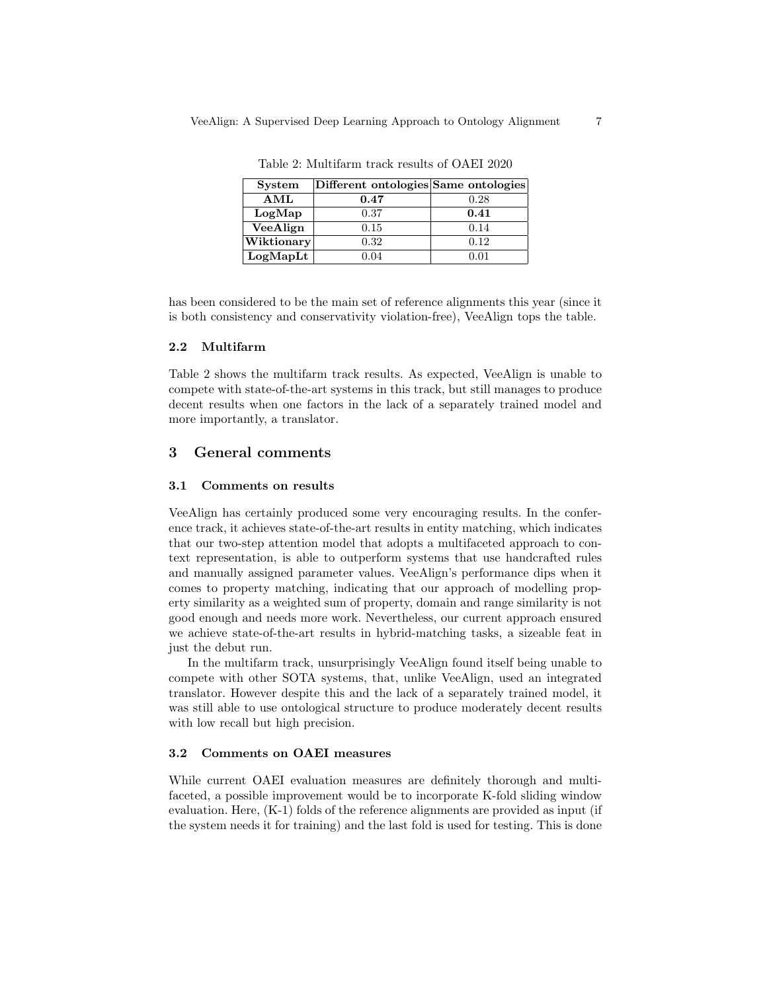| <b>System</b>                           | Different ontologies Same ontologies |      |
|-----------------------------------------|--------------------------------------|------|
| AML                                     | 0.47                                 | 0.28 |
| LogMap                                  | 0.37                                 | 0.41 |
| VeeAlign                                | 0.15                                 | 0.14 |
| $ \overline{\text{W}}\text{iktionary} $ | 0.32                                 | 0.12 |
| LogMapLt                                | 0.04                                 | 0.01 |

Table 2: Multifarm track results of OAEI 2020

has been considered to be the main set of reference alignments this year (since it is both consistency and conservativity violation-free), VeeAlign tops the table.

#### 2.2 Multifarm

Table 2 shows the multifarm track results. As expected, VeeAlign is unable to compete with state-of-the-art systems in this track, but still manages to produce decent results when one factors in the lack of a separately trained model and more importantly, a translator.

# 3 General comments

#### 3.1 Comments on results

VeeAlign has certainly produced some very encouraging results. In the conference track, it achieves state-of-the-art results in entity matching, which indicates that our two-step attention model that adopts a multifaceted approach to context representation, is able to outperform systems that use handcrafted rules and manually assigned parameter values. VeeAlign's performance dips when it comes to property matching, indicating that our approach of modelling property similarity as a weighted sum of property, domain and range similarity is not good enough and needs more work. Nevertheless, our current approach ensured we achieve state-of-the-art results in hybrid-matching tasks, a sizeable feat in just the debut run.

In the multifarm track, unsurprisingly VeeAlign found itself being unable to compete with other SOTA systems, that, unlike VeeAlign, used an integrated translator. However despite this and the lack of a separately trained model, it was still able to use ontological structure to produce moderately decent results with low recall but high precision.

## 3.2 Comments on OAEI measures

While current OAEI evaluation measures are definitely thorough and multifaceted, a possible improvement would be to incorporate K-fold sliding window evaluation. Here, (K-1) folds of the reference alignments are provided as input (if the system needs it for training) and the last fold is used for testing. This is done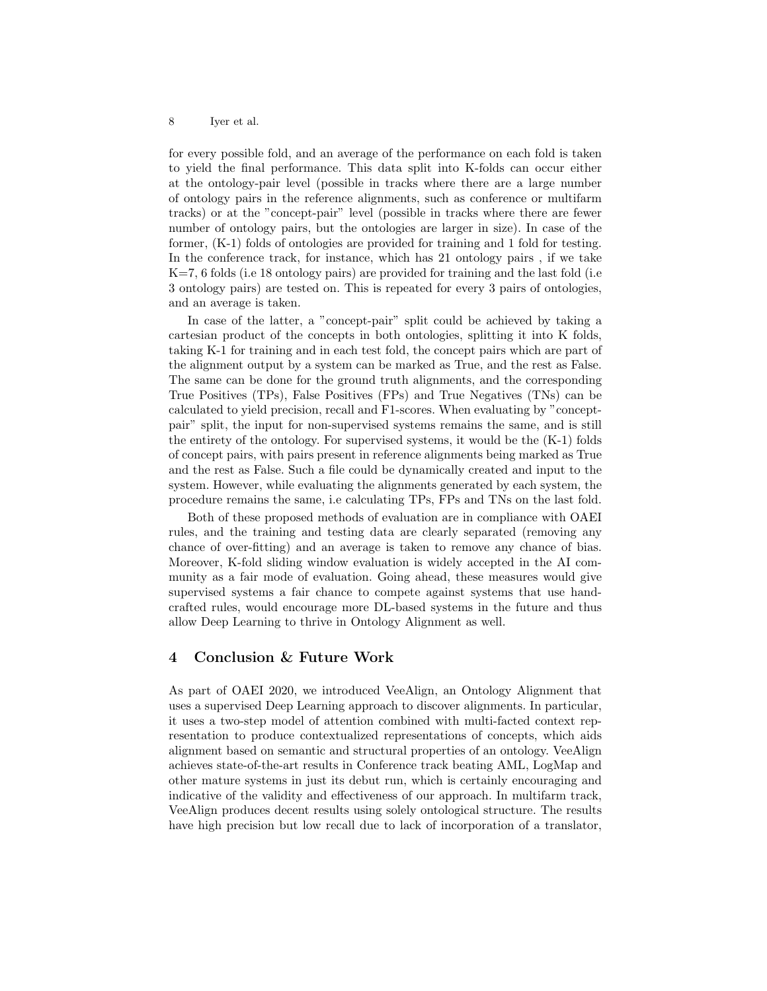#### 8 Iyer et al.

for every possible fold, and an average of the performance on each fold is taken to yield the final performance. This data split into K-folds can occur either at the ontology-pair level (possible in tracks where there are a large number of ontology pairs in the reference alignments, such as conference or multifarm tracks) or at the "concept-pair" level (possible in tracks where there are fewer number of ontology pairs, but the ontologies are larger in size). In case of the former, (K-1) folds of ontologies are provided for training and 1 fold for testing. In the conference track, for instance, which has 21 ontology pairs , if we take K=7, 6 folds (i.e 18 ontology pairs) are provided for training and the last fold (i.e 3 ontology pairs) are tested on. This is repeated for every 3 pairs of ontologies, and an average is taken.

In case of the latter, a "concept-pair" split could be achieved by taking a cartesian product of the concepts in both ontologies, splitting it into K folds, taking K-1 for training and in each test fold, the concept pairs which are part of the alignment output by a system can be marked as True, and the rest as False. The same can be done for the ground truth alignments, and the corresponding True Positives (TPs), False Positives (FPs) and True Negatives (TNs) can be calculated to yield precision, recall and F1-scores. When evaluating by "conceptpair" split, the input for non-supervised systems remains the same, and is still the entirety of the ontology. For supervised systems, it would be the (K-1) folds of concept pairs, with pairs present in reference alignments being marked as True and the rest as False. Such a file could be dynamically created and input to the system. However, while evaluating the alignments generated by each system, the procedure remains the same, i.e calculating TPs, FPs and TNs on the last fold.

Both of these proposed methods of evaluation are in compliance with OAEI rules, and the training and testing data are clearly separated (removing any chance of over-fitting) and an average is taken to remove any chance of bias. Moreover, K-fold sliding window evaluation is widely accepted in the AI community as a fair mode of evaluation. Going ahead, these measures would give supervised systems a fair chance to compete against systems that use handcrafted rules, would encourage more DL-based systems in the future and thus allow Deep Learning to thrive in Ontology Alignment as well.

## 4 Conclusion & Future Work

As part of OAEI 2020, we introduced VeeAlign, an Ontology Alignment that uses a supervised Deep Learning approach to discover alignments. In particular, it uses a two-step model of attention combined with multi-facted context representation to produce contextualized representations of concepts, which aids alignment based on semantic and structural properties of an ontology. VeeAlign achieves state-of-the-art results in Conference track beating AML, LogMap and other mature systems in just its debut run, which is certainly encouraging and indicative of the validity and effectiveness of our approach. In multifarm track, VeeAlign produces decent results using solely ontological structure. The results have high precision but low recall due to lack of incorporation of a translator,